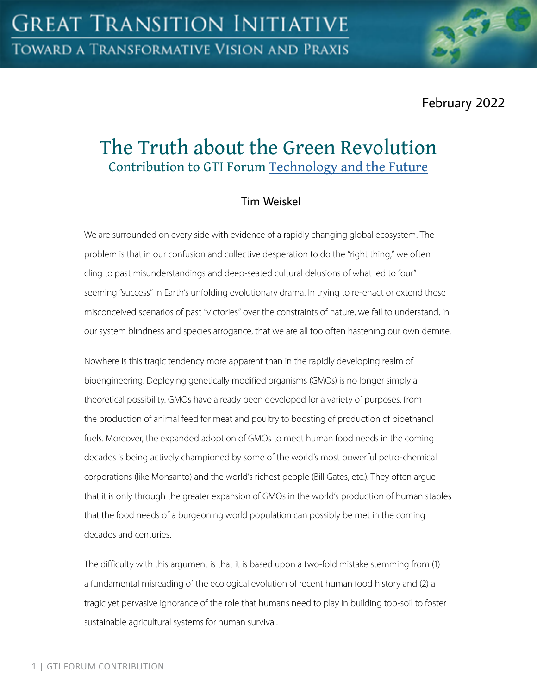February 2022

# The Truth about the Green Revolution Contribution to GTI Forum [Technology and the Future](https://greattransition.org/gti-forum/tech-and-the-future)

## Tim Weiskel

We are surrounded on every side with evidence of a rapidly changing global ecosystem. The problem is that in our confusion and collective desperation to do the "right thing," we often cling to past misunderstandings and deep-seated cultural delusions of what led to "our" seeming "success" in Earth's unfolding evolutionary drama. In trying to re-enact or extend these misconceived scenarios of past "victories" over the constraints of nature, we fail to understand, in our system blindness and species arrogance, that we are all too often hastening our own demise.

Nowhere is this tragic tendency more apparent than in the rapidly developing realm of bioengineering. Deploying genetically modified organisms (GMOs) is no longer simply a theoretical possibility. GMOs have already been developed for a variety of purposes, from the production of animal feed for meat and poultry to boosting of production of bioethanol fuels. Moreover, the expanded adoption of GMOs to meet human food needs in the coming decades is being actively championed by some of the world's most powerful petro-chemical corporations (like Monsanto) and the world's richest people (Bill Gates, etc.). They often argue that it is only through the greater expansion of GMOs in the world's production of human staples that the food needs of a burgeoning world population can possibly be met in the coming decades and centuries.

The difficulty with this argument is that it is based upon a two-fold mistake stemming from (1) a fundamental misreading of the ecological evolution of recent human food history and (2) a tragic yet pervasive ignorance of the role that humans need to play in building top-soil to foster sustainable agricultural systems for human survival.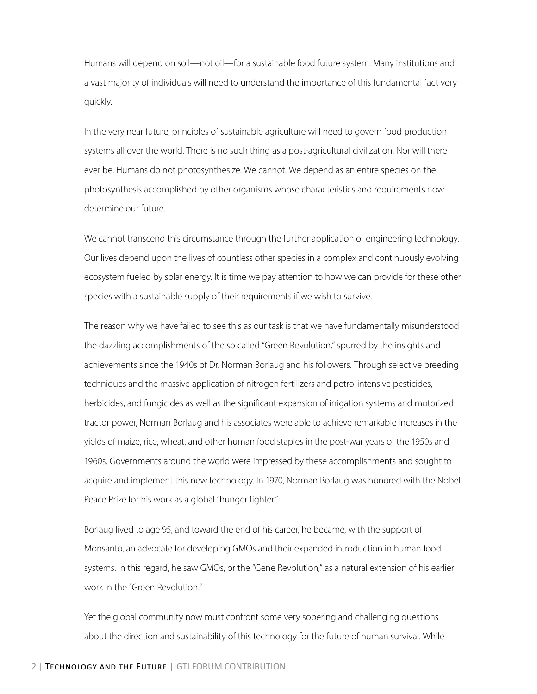Humans will depend on soil—not oil—for a sustainable food future system. Many institutions and a vast majority of individuals will need to understand the importance of this fundamental fact very quickly.

In the very near future, principles of sustainable agriculture will need to govern food production systems all over the world. There is no such thing as a post-agricultural civilization. Nor will there ever be. Humans do not photosynthesize. We cannot. We depend as an entire species on the photosynthesis accomplished by other organisms whose characteristics and requirements now determine our future.

We cannot transcend this circumstance through the further application of engineering technology. Our lives depend upon the lives of countless other species in a complex and continuously evolving ecosystem fueled by solar energy. It is time we pay attention to how we can provide for these other species with a sustainable supply of their requirements if we wish to survive.

The reason why we have failed to see this as our task is that we have fundamentally misunderstood the dazzling accomplishments of the so called "Green Revolution," spurred by the insights and achievements since the 1940s of Dr. Norman Borlaug and his followers. Through selective breeding techniques and the massive application of nitrogen fertilizers and petro-intensive pesticides, herbicides, and fungicides as well as the significant expansion of irrigation systems and motorized tractor power, Norman Borlaug and his associates were able to achieve remarkable increases in the yields of maize, rice, wheat, and other human food staples in the post-war years of the 1950s and 1960s. Governments around the world were impressed by these accomplishments and sought to acquire and implement this new technology. In 1970, Norman Borlaug was honored with the Nobel Peace Prize for his work as a global "hunger fighter."

Borlaug lived to age 95, and toward the end of his career, he became, with the support of Monsanto, an advocate for developing GMOs and their expanded introduction in human food systems. In this regard, he saw GMOs, or the "Gene Revolution," as a natural extension of his earlier work in the "Green Revolution."

Yet the global community now must confront some very sobering and challenging questions about the direction and sustainability of this technology for the future of human survival. While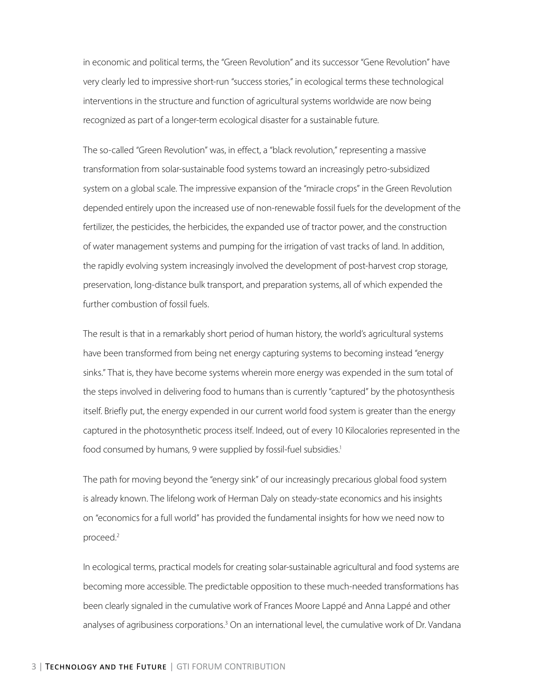in economic and political terms, the "Green Revolution" and its successor "Gene Revolution" have very clearly led to impressive short-run "success stories," in ecological terms these technological interventions in the structure and function of agricultural systems worldwide are now being recognized as part of a longer-term ecological disaster for a sustainable future.

The so-called "Green Revolution" was, in effect, a "black revolution," representing a massive transformation from solar-sustainable food systems toward an increasingly petro-subsidized system on a global scale. The impressive expansion of the "miracle crops" in the Green Revolution depended entirely upon the increased use of non-renewable fossil fuels for the development of the fertilizer, the pesticides, the herbicides, the expanded use of tractor power, and the construction of water management systems and pumping for the irrigation of vast tracks of land. In addition, the rapidly evolving system increasingly involved the development of post-harvest crop storage, preservation, long-distance bulk transport, and preparation systems, all of which expended the further combustion of fossil fuels.

The result is that in a remarkably short period of human history, the world's agricultural systems have been transformed from being net energy capturing systems to becoming instead "energy sinks." That is, they have become systems wherein more energy was expended in the sum total of the steps involved in delivering food to humans than is currently "captured" by the photosynthesis itself. Briefly put, the energy expended in our current world food system is greater than the energy captured in the photosynthetic process itself. Indeed, out of every 10 Kilocalories represented in the food consumed by humans, 9 were supplied by fossil-fuel subsidies.<sup>1</sup>

The path for moving beyond the "energy sink" of our increasingly precarious global food system is already known. The lifelong work of Herman Daly on steady-state economics and his insights on "economics for a full world" has provided the fundamental insights for how we need now to proceed.2

In ecological terms, practical models for creating solar-sustainable agricultural and food systems are becoming more accessible. The predictable opposition to these much-needed transformations has been clearly signaled in the cumulative work of Frances Moore Lappé and Anna Lappé and other analyses of agribusiness corporations.<sup>3</sup> On an international level, the cumulative work of Dr. Vandana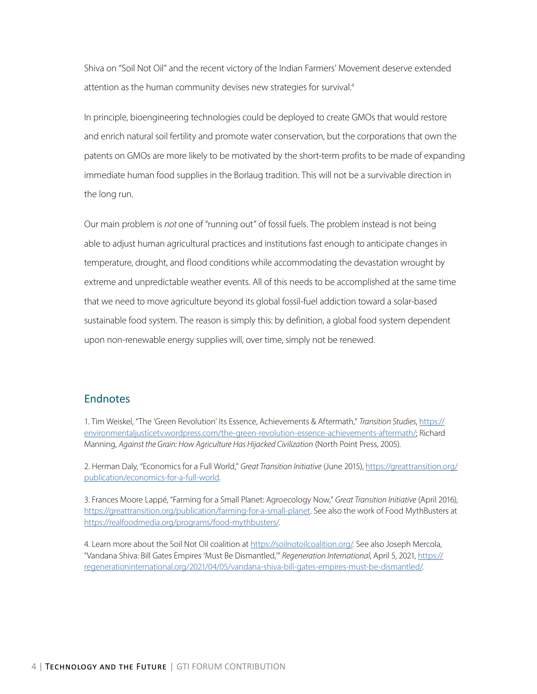Shiva on "Soil Not Oil" and the recent victory of the Indian Farmers' Movement deserve extended attention as the human community devises new strategies for survival.<sup>4</sup>

In principle, bioengineering technologies could be deployed to create GMOs that would restore and enrich natural soil fertility and promote water conservation, but the corporations that own the patents on GMOs are more likely to be motivated by the short-term profits to be made of expanding immediate human food supplies in the Borlaug tradition. This will not be a survivable direction in the long run.

Our main problem is *not* one of "running out" of fossil fuels. The problem instead is not being able to adjust human agricultural practices and institutions fast enough to anticipate changes in temperature, drought, and flood conditions while accommodating the devastation wrought by extreme and unpredictable weather events. All of this needs to be accomplished at the same time that we need to move agriculture beyond its global fossil-fuel addiction toward a solar-based sustainable food system. The reason is simply this: by definition, a global food system dependent upon non-renewable energy supplies will, over time, simply not be renewed.

#### **Endnotes**

1. Tim Weiskel, "The 'Green Revolution' Its Essence, Achievements & Aftermath," *Transition Studies*, [https://](https://environmentaljusticetv.wordpress.com/the-green-revolution-essence-achievements-aftermath/) [environmentaljusticetv.wordpress.com/the-green-revolution-essence-achievements-aftermath/](https://environmentaljusticetv.wordpress.com/the-green-revolution-essence-achievements-aftermath/); Richard Manning, *Against the Grain: How Agriculture Has Hijacked Civilization* (North Point Press, 2005).

2. Herman Daly, "Economics for a Full World," *Great Transition Initiative* (June 2015), [https://greattransition.org/](https://greattransition.org/publication/economics-for-a-full-world) [publication/economics-for-a-full-world](https://greattransition.org/publication/economics-for-a-full-world).

3. Frances Moore Lappé, "Farming for a Small Planet: Agroecology Now," *Great Transition Initiative* (April 2016), [https://greattransition.org/publication/farming-for-a-small-planet.](https://greattransition.org/publication/farming-for-a-small-planet) See also the work of Food MythBusters at [https://realfoodmedia.org/programs/food-mythbusters/.](https://realfoodmedia.org/programs/food-mythbusters/)

4. Learn more about the Soil Not Oil coalition at <https://soilnotoilcoalition.org/>. See also Joseph Mercola, "Vandana Shiva: Bill Gates Empires 'Must Be Dismantled,'" *Regeneration International*, April 5, 2021, [https://](https://regenerationinternational.org/2021/04/05/vandana-shiva-bill-gates-empires-must-be-dismantled/) [regenerationinternational.org/2021/04/05/vandana-shiva-bill-gates-empires-must-be-dismantled/](https://regenerationinternational.org/2021/04/05/vandana-shiva-bill-gates-empires-must-be-dismantled/).